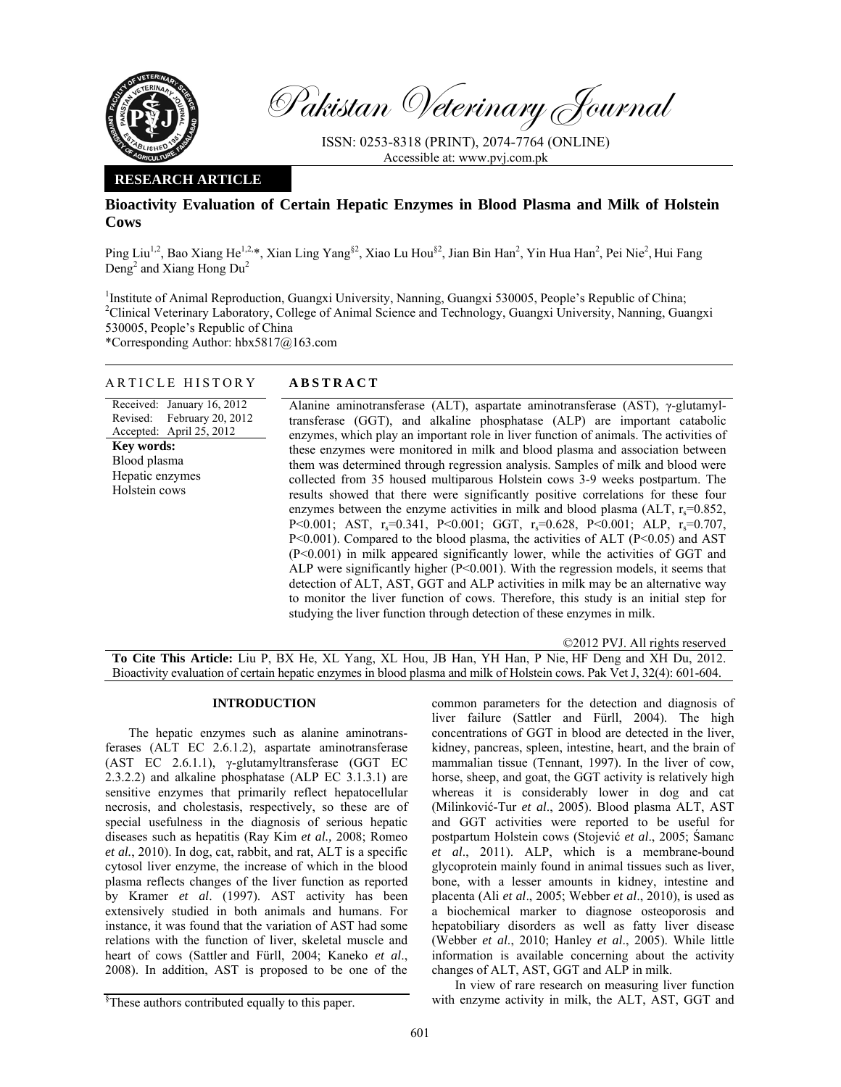

Pakistan Veterinary Journal

ISSN: 0253-8318 (PRINT), 2074-7764 (ONLINE) Accessible at: www.pvj.com.pk

## **RESEARCH ARTICLE**

# **Bioactivity Evaluation of Certain Hepatic Enzymes in Blood Plasma and Milk of Holstein Cows**

Ping Liu<sup>1,2</sup>, Bao Xiang He<sup>1,2,\*</sup>, Xian Ling Yang<sup>§2</sup>, Xiao Lu Hou<sup>§2</sup>, Jian Bin Han<sup>2</sup>, Yin Hua Han<sup>2</sup>, Pei Nie<sup>2</sup>, Hui Fang Deng<sup>2</sup> and Xiang Hong  $Du<sup>2</sup>$ 

<sup>1</sup>Institute of Animal Reproduction, Guangxi University, Nanning, Guangxi 530005, People's Republic of China; <sup>2</sup>Clinical Veterinary Laboratory, College of Animal Science and Technology, Guangxi University, Nanning, Guangxi 530005, People's Republic of China

\*Corresponding Author: hbx5817@163.com

# ARTICLE HISTORY **ABSTRACT**

Received: January 16, 2012 Revised: Accepted: April 25, 2012 February 20, 2012 **Key words:**  Blood plasma Hepatic enzymes Holstein cows Alanine aminotransferase (ALT), aspartate aminotransferase (AST), γ-glutamyltransferase (GGT), and alkaline phosphatase (ALP) are important catabolic enzymes, which play an important role in liver function of animals. The activities of these enzymes were monitored in milk and blood plasma and association between them was determined through regression analysis. Samples of milk and blood were collected from 35 housed multiparous Holstein cows 3-9 weeks postpartum. The results showed that there were significantly positive correlations for these four enzymes between the enzyme activities in milk and blood plasma (ALT,  $r_s=0.852$ , P<0.001; AST, r<sub>s</sub>=0.341, P<0.001; GGT, r<sub>s</sub>=0.628, P<0.001; ALP, r<sub>s</sub>=0.707, Ρ<0.001). Compared to the blood plasma, the activities of ALT (Ρ<0.05) and AST (Ρ<0.001) in milk appeared significantly lower, while the activities of GGT and ALP were significantly higher (Ρ<0.001). With the regression models, it seems that detection of ALT, AST, GGT and ALP activities in milk may be an alternative way to monitor the liver function of cows. Therefore, this study is an initial step for studying the liver function through detection of these enzymes in milk.

©2012 PVJ. All rights reserved **To Cite This Article:** Liu P, BX He, XL Yang, XL Hou, JB Han, YH Han, P Nie, HF Deng and XH Du, 2012. Bioactivity evaluation of certain hepatic enzymes in blood plasma and milk of Holstein cows. Pak Vet J, 32(4): 601-604.

## **INTRODUCTION**

The hepatic enzymes such as alanine aminotransferases (ALT EC 2.6.1.2), aspartate aminotransferase (AST EC 2.6.1.1), γ-glutamyltransferase (GGT EC 2.3.2.2) and alkaline phosphatase (ALP EC 3.1.3.1) are sensitive enzymes that primarily reflect hepatocellular necrosis, and cholestasis, respectively, so these are of special usefulness in the diagnosis of serious hepatic diseases such as hepatitis (Ray Kim *et al.,* 2008; Romeo *et al.*, 2010). In dog, cat, rabbit, and rat, ALT is a specific cytosol liver enzyme, the increase of which in the blood plasma reflects changes of the liver function as reported by Kramer *et al*. (1997). AST activity has been extensively studied in both animals and humans. For instance, it was found that the variation of AST had some relations with the function of liver, skeletal muscle and heart of cows (Sattler and Fürll, 2004; Kaneko *et al*., 2008). In addition, AST is proposed to be one of the

common parameters for the detection and diagnosis of liver failure (Sattler and Fürll, 2004). The high concentrations of GGT in blood are detected in the liver, kidney, pancreas, spleen, intestine, heart, and the brain of mammalian tissue (Tennant, 1997). In the liver of cow, horse, sheep, and goat, the GGT activity is relatively high whereas it is considerably lower in dog and cat (Milinković-Tur *et al*., 2005). Blood plasma ALT, AST and GGT activities were reported to be useful for postpartum Holstein cows (Stojević *et al*., 2005; Śamanc *et al*., 2011). ALP, which is a membrane-bound glycoprotein mainly found in animal tissues such as liver, bone, with a lesser amounts in kidney, intestine and placenta (Ali *et al*., 2005; Webber *et al*., 2010), is used as a biochemical marker to diagnose osteoporosis and hepatobiliary disorders as well as fatty liver disease (Webber *et al*., 2010; Hanley *et al*., 2005). While little information is available concerning about the activity changes of ALT, AST, GGT and ALP in milk.

In view of rare research on measuring liver function with enzyme activity in milk, the ALT, AST, GGT and

<sup>§</sup> These authors contributed equally to this paper.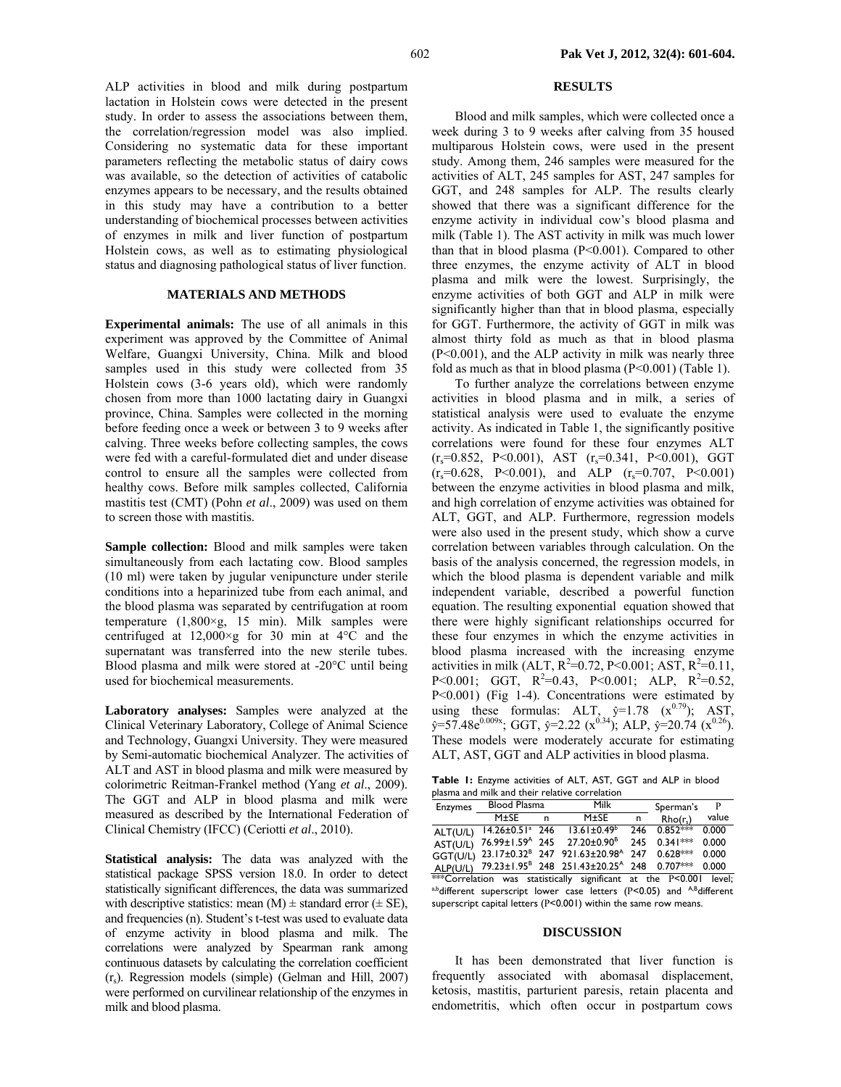ALP activities in blood and milk during postpartum lactation in Holstein cows were detected in the present study. In order to assess the associations between them, the correlation/regression model was also implied. Considering no systematic data for these important parameters reflecting the metabolic status of dairy cows was available, so the detection of activities of catabolic enzymes appears to be necessary, and the results obtained in this study may have a contribution to a better understanding of biochemical processes between activities of enzymes in milk and liver function of postpartum Holstein cows, as well as to estimating physiological status and diagnosing pathological status of liver function.

## **MATERIALS AND METHODS**

**Experimental animals:** The use of all animals in this experiment was approved by the Committee of Animal Welfare, Guangxi University, China. Milk and blood samples used in this study were collected from 35 Holstein cows (3-6 years old), which were randomly chosen from more than 1000 lactating dairy in Guangxi province, China. Samples were collected in the morning before feeding once a week or between 3 to 9 weeks after calving. Three weeks before collecting samples, the cows were fed with a careful-formulated diet and under disease control to ensure all the samples were collected from healthy cows. Before milk samples collected, California mastitis test (CMT) (Pohn *et al*., 2009) was used on them to screen those with mastitis.

**Sample collection:** Blood and milk samples were taken simultaneously from each lactating cow. Blood samples (10 ml) were taken by jugular venipuncture under sterile conditions into a heparinized tube from each animal, and the blood plasma was separated by centrifugation at room temperature  $(1,800 \times g, 15 \text{ min})$ . Milk samples were centrifuged at  $12,000\times g$  for 30 min at  $4^{\circ}$ C and the supernatant was transferred into the new sterile tubes. Blood plasma and milk were stored at -20°C until being used for biochemical measurements.

**Laboratory analyses:** Samples were analyzed at the Clinical Veterinary Laboratory, College of Animal Science and Technology, Guangxi University. They were measured by Semi-automatic biochemical Analyzer. The activities of ALT and AST in blood plasma and milk were measured by colorimetric Reitman-Frankel method (Yang *et al*., 2009). The GGT and ALP in blood plasma and milk were measured as described by the International Federation of Clinical Chemistry (IFCC) (Ceriotti *et al*., 2010).

**Statistical analysis:** The data was analyzed with the statistical package SPSS version 18.0. In order to detect statistically significant differences, the data was summarized with descriptive statistics: mean  $(M) \pm$  standard error ( $\pm$  SE), and frequencies (n). Student's t-test was used to evaluate data of enzyme activity in blood plasma and milk. The correlations were analyzed by Spearman rank among continuous datasets by calculating the correlation coefficient  $(r<sub>s</sub>)$ . Regression models (simple) (Gelman and Hill, 2007) were performed on curvilinear relationship of the enzymes in milk and blood plasma.

#### **RESULTS**

Blood and milk samples, which were collected once a week during 3 to 9 weeks after calving from 35 housed multiparous Holstein cows, were used in the present study. Among them, 246 samples were measured for the activities of ALT, 245 samples for AST, 247 samples for GGT, and 248 samples for ALP. The results clearly showed that there was a significant difference for the enzyme activity in individual cow's blood plasma and milk (Table 1). The AST activity in milk was much lower than that in blood plasma (Ρ<0.001). Compared to other three enzymes, the enzyme activity of ALT in blood plasma and milk were the lowest. Surprisingly, the enzyme activities of both GGT and ALP in milk were significantly higher than that in blood plasma, especially for GGT. Furthermore, the activity of GGT in milk was almost thirty fold as much as that in blood plasma (Ρ<0.001), and the ALP activity in milk was nearly three fold as much as that in blood plasma (Ρ<0.001) (Table 1).

To further analyze the correlations between enzyme activities in blood plasma and in milk, a series of statistical analysis were used to evaluate the enzyme activity. As indicated in Table 1, the significantly positive correlations were found for these four enzymes ALT  $(r_s=0.852, P<0.001), AST (r_s=0.341, P<0.001), GGT$  $(r_s=0.628, P<0.001)$ , and ALP  $(r_s=0.707, P<0.001)$ between the enzyme activities in blood plasma and milk, and high correlation of enzyme activities was obtained for ALT, GGT, and ALP. Furthermore, regression models were also used in the present study, which show a curve correlation between variables through calculation. On the basis of the analysis concerned, the regression models, in which the blood plasma is dependent variable and milk independent variable, described a powerful function equation. The resulting exponential equation showed that there were highly significant relationships occurred for these four enzymes in which the enzyme activities in blood plasma increased with the increasing enzyme activities in milk (ALT,  $R^2=0.72$ , P<0.001; AST,  $R^2=0.11$ ,  $P \le 0.001$ ; GGT,  $R^2 = 0.43$ ,  $P \le 0.001$ ; ALP,  $R^2 = 0.52$ , Ρ<0.001) (Fig 1-4). Concentrations were estimated by using these formulas: ALT,  $\hat{y}=1.78$  ( $x^{0.79}$ ); AST,  $\hat{y}$ =57.48e<sup>0.009x</sup>; GGT,  $\hat{y}$ =2.22 ( $x^{0.34}$ ); ALP,  $\hat{y}$ =20.74 ( $x^{0.26}$ ). These models were moderately accurate for estimating ALT, AST, GGT and ALP activities in blood plasma.

**Table 1:** Enzyme activities of ALT, AST, GGT and ALP in blood plasma and milk and their relative correlation

| <b>Enzymes</b>                                                        | <b>Blood Plasma</b>          |   | Milk                                                                 |     | Sperman's  | P     |
|-----------------------------------------------------------------------|------------------------------|---|----------------------------------------------------------------------|-----|------------|-------|
|                                                                       | $M+SF$                       | n | $M \pm SE$                                                           | n   | $Rho(r_s)$ | value |
| ALT(U/L)                                                              | $14.26 \pm 0.51^{\circ}$ 246 |   | $13.61 \pm 0.49^b$                                                   | 246 | $0.852***$ | 0.000 |
| AST(U/L)                                                              | 76.99±1.59 <sup>A</sup> 245  |   | 27.20±0.90 <sup>B</sup>                                              | 245 | $0.341***$ | 0.000 |
| GGT(U/L)                                                              |                              |   | 23.17±0.32 <sup>B</sup> 247 921.63±20.98 <sup>A</sup> 247            |     | $0.628***$ | 0.000 |
| ALP(U/L)                                                              |                              |   | 79.23±1.95 <sup>B</sup> 248 251.43±20.25 <sup>A</sup> 248            |     | $0.707***$ | 0.000 |
| ***Correlation was statistically significant at the P<0.001<br>level: |                              |   |                                                                      |     |            |       |
|                                                                       |                              |   | a,bdifferent superscript lower case letters (P<0.05) and ABdifferent |     |            |       |
| superscript capital letters (P<0.001) within the same row means.      |                              |   |                                                                      |     |            |       |

#### **DISCUSSION**

It has been demonstrated that liver function is frequently associated with abomasal displacement, ketosis, mastitis, parturient paresis, retain placenta and endometritis, which often occur in postpartum cows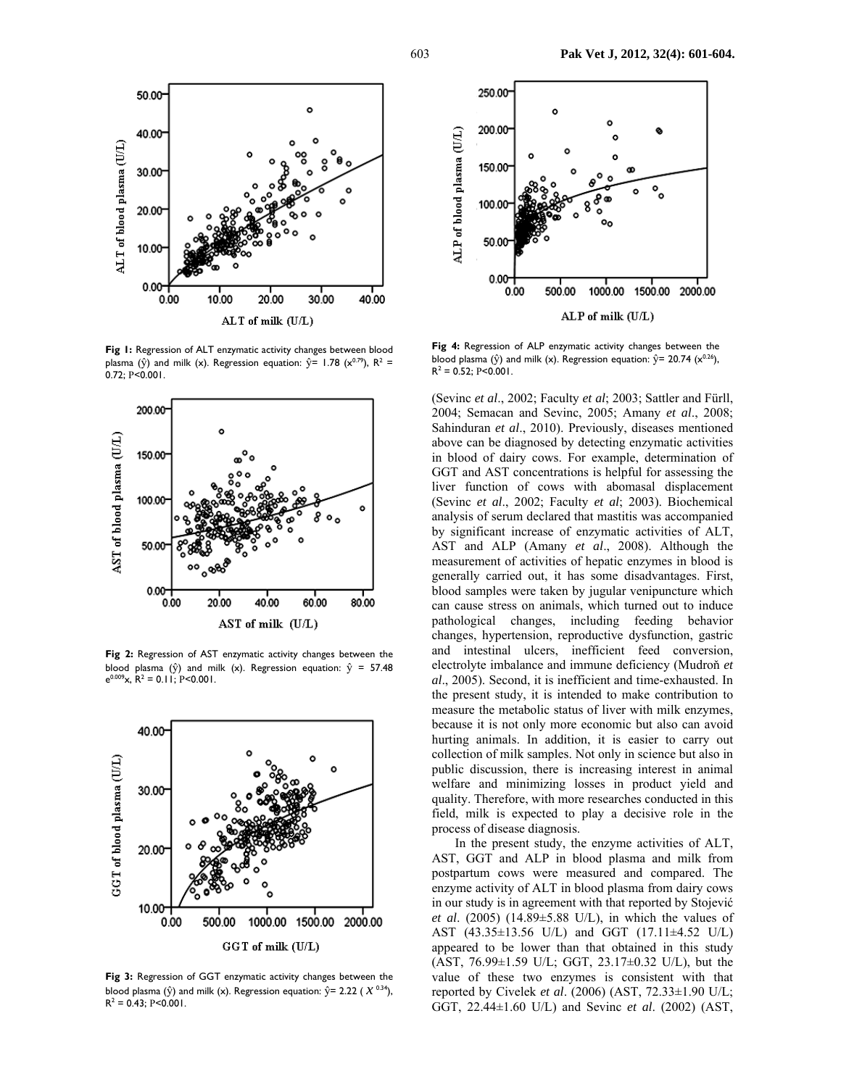

**Fig 1:** Regression of ALT enzymatic activity changes between blood plasma ( $\hat{y}$ ) and milk (x). Regression equation:  $\hat{y}$  = 1.78 (x<sup>0.79</sup>), R<sup>2</sup> = 0.72; Ρ<0.001.



**Fig 2:** Regression of AST enzymatic activity changes between the blood plasma ( $\hat{y}$ ) and milk (x). Regression equation:  $\hat{y}$  = 57.48  $e^{0.009}x$ ,  $R^2 = 0.11$ ; P<0.001.



**Fig 3:** Regression of GGT enzymatic activity changes between the blood plasma ( $\hat{y}$ ) and milk (x). Regression equation:  $\hat{y}$  = 2.22 (  $X^{0.34}$ ),  $R^2 = 0.43$ ; P<0.001.



**Fig 4:** Regression of ALP enzymatic activity changes between the blood plasma ( $\hat{v}$ ) and milk (x). Regression equation:  $\hat{v}$  = 20.74 (x<sup>0.26</sup>),  $R^2 = 0.52$ ; P<0.001.

(Sevinc *et al*., 2002; Faculty *et al*; 2003; Sattler and Fürll, 2004; Semacan and Sevinc, 2005; Amany *et al*., 2008; Sahinduran *et al*., 2010). Previously, diseases mentioned above can be diagnosed by detecting enzymatic activities in blood of dairy cows. For example, determination of GGT and AST concentrations is helpful for assessing the liver function of cows with abomasal displacement (Sevinc *et al*., 2002; Faculty *et al*; 2003). Biochemical analysis of serum declared that mastitis was accompanied by significant increase of enzymatic activities of ALT, AST and ALP (Amany *et al*., 2008). Although the measurement of activities of hepatic enzymes in blood is generally carried out, it has some disadvantages. First, blood samples were taken by jugular venipuncture which can cause stress on animals, which turned out to induce pathological changes, including feeding behavior changes, hypertension, reproductive dysfunction, gastric and intestinal ulcers, inefficient feed conversion, electrolyte imbalance and immune deficiency (Mudroň *et al*., 2005). Second, it is inefficient and time-exhausted. In the present study, it is intended to make contribution to measure the metabolic status of liver with milk enzymes, because it is not only more economic but also can avoid hurting animals. In addition, it is easier to carry out collection of milk samples. Not only in science but also in public discussion, there is increasing interest in animal welfare and minimizing losses in product yield and quality. Therefore, with more researches conducted in this field, milk is expected to play a decisive role in the process of disease diagnosis.

In the present study, the enzyme activities of ALT, AST, GGT and ALP in blood plasma and milk from postpartum cows were measured and compared. The enzyme activity of ALT in blood plasma from dairy cows in our study is in agreement with that reported by Stojević *et al*. (2005) (14.89±5.88 U/L), in which the values of AST (43.35±13.56 U/L) and GGT (17.11±4.52 U/L) appeared to be lower than that obtained in this study (AST, 76.99±1.59 U/L; GGT, 23.17±0.32 U/L), but the value of these two enzymes is consistent with that reported by Civelek *et al*. (2006) (AST, 72.33±1.90 U/L; GGT, 22.44±1.60 U/L) and Sevinc *et al*. (2002) (AST,